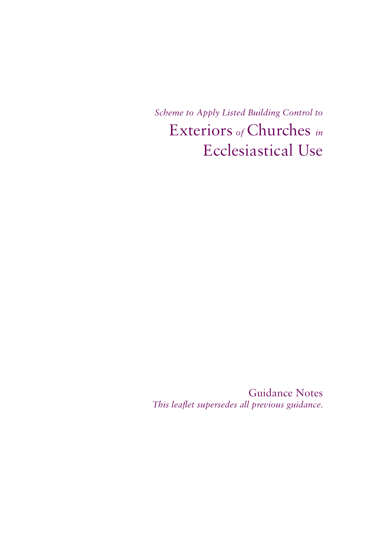*Scheme to Apply Listed Building Control to* Exteriors *of* Churches *in* Ecclesiastical Use

Guidance Notes *This leaflet supersedes all previous guidance.*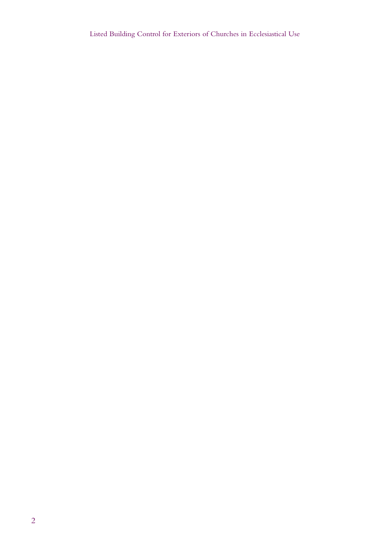Listed Building Control for Exteriors of Churches in Ecclesiastical Use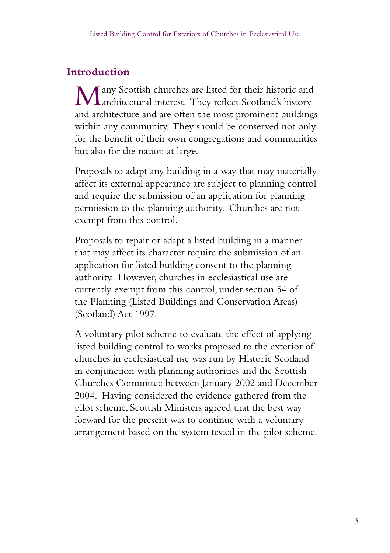## **Introduction**

Many Scottish churches are listed for their historic and architectural interest. They reflect Scotland's history and architecture and are often the most prominent buildings within any community. They should be conserved not only for the benefit of their own congregations and communities but also for the nation at large.

Proposals to adapt any building in a way that may materially affect its external appearance are subject to planning control and require the submission of an application for planning permission to the planning authority. Churches are not exempt from this control.

Proposals to repair or adapt a listed building in a manner that may affect its character require the submission of an application for listed building consent to the planning authority. However, churches in ecclesiastical use are currently exempt from this control, under section 54 of the Planning (Listed Buildings and Conservation Areas) (Scotland) Act 1997.

A voluntary pilot scheme to evaluate the effect of applying listed building control to works proposed to the exterior of churches in ecclesiastical use was run by Historic Scotland in conjunction with planning authorities and the Scottish Churches Committee between January 2002 and December 2004. Having considered the evidence gathered from the pilot scheme, Scottish Ministers agreed that the best way forward for the present was to continue with a voluntary arrangement based on the system tested in the pilot scheme.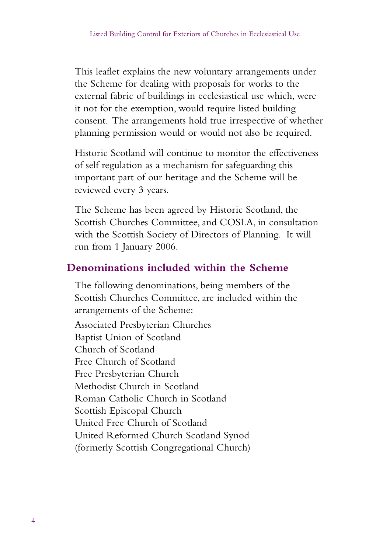This leaflet explains the new voluntary arrangements under the Scheme for dealing with proposals for works to the external fabric of buildings in ecclesiastical use which, were it not for the exemption, would require listed building consent. The arrangements hold true irrespective of whether planning permission would or would not also be required.

Historic Scotland will continue to monitor the effectiveness of self regulation as a mechanism for safeguarding this important part of our heritage and the Scheme will be reviewed every 3 years.

The Scheme has been agreed by Historic Scotland, the Scottish Churches Committee, and COSLA, in consultation with the Scottish Society of Directors of Planning. It will run from 1 January 2006.

#### **Denominations included within the Scheme**

The following denominations, being members of the Scottish Churches Committee, are included within the arrangements of the Scheme:

Associated Presbyterian Churches Baptist Union of Scotland Church of Scotland Free Church of Scotland Free Presbyterian Church Methodist Church in Scotland Roman Catholic Church in Scotland Scottish Episcopal Church United Free Church of Scotland United Reformed Church Scotland Synod (formerly Scottish Congregational Church)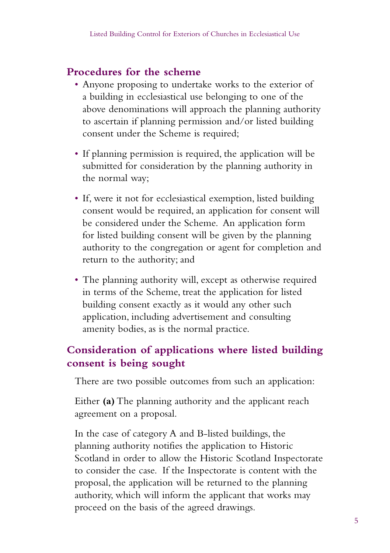### **Procedures for the scheme**

- Anyone proposing to undertake works to the exterior of a building in ecclesiastical use belonging to one of the above denominations will approach the planning authority to ascertain if planning permission and/or listed building consent under the Scheme is required;
- If planning permission is required, the application will be submitted for consideration by the planning authority in the normal way;
- If, were it not for ecclesiastical exemption, listed building consent would be required, an application for consent will be considered under the Scheme. An application form for listed building consent will be given by the planning authority to the congregation or agent for completion and return to the authority; and
- The planning authority will, except as otherwise required in terms of the Scheme, treat the application for listed building consent exactly as it would any other such application, including advertisement and consulting amenity bodies, as is the normal practice.

# **Consideration of applications where listed building consent is being sought**

There are two possible outcomes from such an application:

Either **(a)** The planning authority and the applicant reach agreement on a proposal.

In the case of category A and B-listed buildings, the planning authority notifies the application to Historic Scotland in order to allow the Historic Scotland Inspectorate to consider the case. If the Inspectorate is content with the proposal, the application will be returned to the planning authority, which will inform the applicant that works may proceed on the basis of the agreed drawings.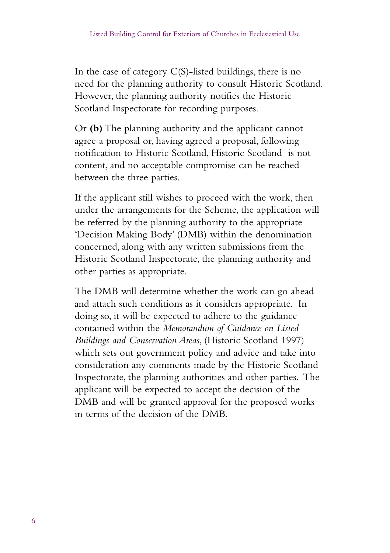In the case of category  $C(S)$ -listed buildings, there is no need for the planning authority to consult Historic Scotland. However, the planning authority notifies the Historic Scotland Inspectorate for recording purposes.

Or **(b)** The planning authority and the applicant cannot agree a proposal or, having agreed a proposal, following notification to Historic Scotland, Historic Scotland is not content, and no acceptable compromise can be reached between the three parties.

If the applicant still wishes to proceed with the work, then under the arrangements for the Scheme, the application will be referred by the planning authority to the appropriate 'Decision Making Body' (DMB) within the denomination concerned, along with any written submissions from the Historic Scotland Inspectorate, the planning authority and other parties as appropriate.

The DMB will determine whether the work can go ahead and attach such conditions as it considers appropriate. In doing so, it will be expected to adhere to the guidance contained within the *Memorandum of Guidance on Listed Buildings and Conservation Areas*, (Historic Scotland 1997) which sets out government policy and advice and take into consideration any comments made by the Historic Scotland Inspectorate, the planning authorities and other parties. The applicant will be expected to accept the decision of the DMB and will be granted approval for the proposed works in terms of the decision of the DMB.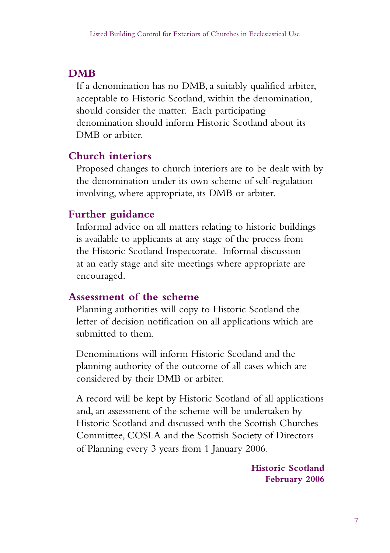#### **DMB**

If a denomination has no DMB, a suitably qualified arbiter, acceptable to Historic Scotland, within the denomination, should consider the matter. Each participating denomination should inform Historic Scotland about its DMB or arbiter.

## **Church interiors**

Proposed changes to church interiors are to be dealt with by the denomination under its own scheme of self-regulation involving, where appropriate, its DMB or arbiter.

## **Further guidance**

Informal advice on all matters relating to historic buildings is available to applicants at any stage of the process from the Historic Scotland Inspectorate. Informal discussion at an early stage and site meetings where appropriate are encouraged.

#### **Assessment of the scheme**

Planning authorities will copy to Historic Scotland the letter of decision notification on all applications which are submitted to them.

Denominations will inform Historic Scotland and the planning authority of the outcome of all cases which are considered by their DMB or arbiter.

A record will be kept by Historic Scotland of all applications and, an assessment of the scheme will be undertaken by Historic Scotland and discussed with the Scottish Churches Committee, COSLA and the Scottish Society of Directors of Planning every 3 years from 1 January 2006.

> **Historic Scotland February 2006**